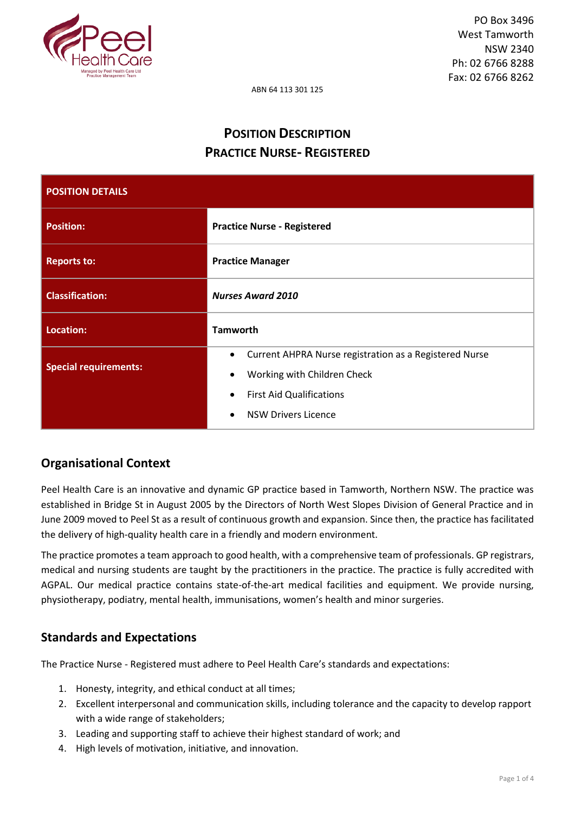

ABN 64 113 301 125

# **POSITION DESCRIPTION PRACTICE NURSE- REGISTERED**

| <b>POSITION DETAILS</b>      |                                                                                                                                                                                               |  |
|------------------------------|-----------------------------------------------------------------------------------------------------------------------------------------------------------------------------------------------|--|
| <b>Position:</b>             | <b>Practice Nurse - Registered</b>                                                                                                                                                            |  |
| <b>Reports to:</b>           | <b>Practice Manager</b>                                                                                                                                                                       |  |
| <b>Classification:</b>       | <b>Nurses Award 2010</b>                                                                                                                                                                      |  |
| Location:                    | <b>Tamworth</b>                                                                                                                                                                               |  |
| <b>Special requirements:</b> | Current AHPRA Nurse registration as a Registered Nurse<br>$\bullet$<br>Working with Children Check<br><b>First Aid Qualifications</b><br>$\bullet$<br><b>NSW Drivers Licence</b><br>$\bullet$ |  |

# **Organisational Context**

Peel Health Care is an innovative and dynamic GP practice based in Tamworth, Northern NSW. The practice was established in Bridge St in August 2005 by the Directors of North West Slopes Division of General Practice and in June 2009 moved to Peel St as a result of continuous growth and expansion. Since then, the practice has facilitated the delivery of high-quality health care in a friendly and modern environment.

The practice promotes a team approach to good health, with a comprehensive team of professionals. GP registrars, medical and nursing students are taught by the practitioners in the practice. The practice is fully accredited with AGPAL. Our medical practice contains state-of-the-art medical facilities and equipment. We provide nursing, physiotherapy, podiatry, mental health, immunisations, women's health and minor surgeries.

# **Standards and Expectations**

The Practice Nurse - Registered must adhere to Peel Health Care's standards and expectations:

- 1. Honesty, integrity, and ethical conduct at all times;
- 2. Excellent interpersonal and communication skills, including tolerance and the capacity to develop rapport with a wide range of stakeholders;
- 3. Leading and supporting staff to achieve their highest standard of work; and
- 4. High levels of motivation, initiative, and innovation.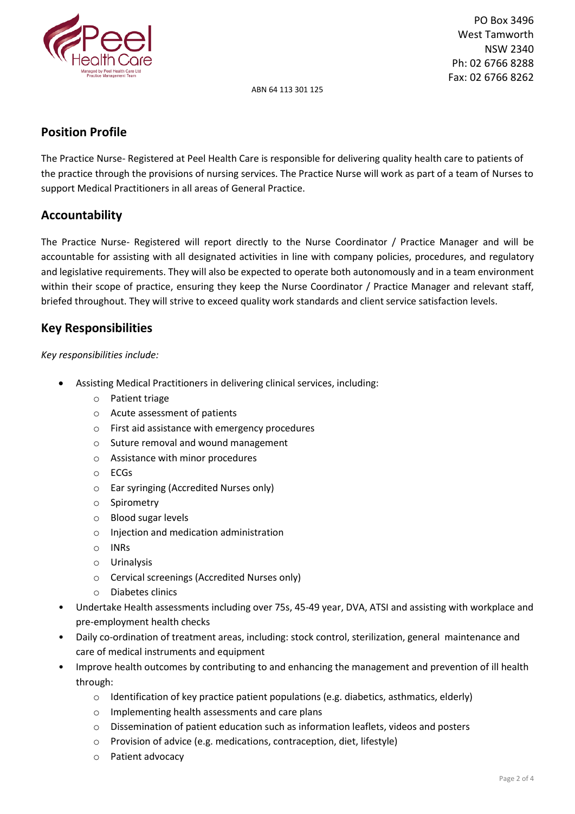

ABN 64 113 301 125

# **Position Profile**

The Practice Nurse- Registered at Peel Health Care is responsible for delivering quality health care to patients of the practice through the provisions of nursing services. The Practice Nurse will work as part of a team of Nurses to support Medical Practitioners in all areas of General Practice.

# **Accountability**

The Practice Nurse- Registered will report directly to the Nurse Coordinator / Practice Manager and will be accountable for assisting with all designated activities in line with company policies, procedures, and regulatory and legislative requirements. They will also be expected to operate both autonomously and in a team environment within their scope of practice, ensuring they keep the Nurse Coordinator / Practice Manager and relevant staff, briefed throughout. They will strive to exceed quality work standards and client service satisfaction levels.

## **Key Responsibilities**

### *Key responsibilities include:*

- Assisting Medical Practitioners in delivering clinical services, including:
	- o Patient triage
	- o Acute assessment of patients
	- o First aid assistance with emergency procedures
	- o Suture removal and wound management
	- o Assistance with minor procedures
	- o ECGs
	- o Ear syringing (Accredited Nurses only)
	- o Spirometry
	- o Blood sugar levels
	- o Injection and medication administration
	- o INRs
	- o Urinalysis
	- o Cervical screenings (Accredited Nurses only)
	- o Diabetes clinics
- Undertake Health assessments including over 75s, 45-49 year, DVA, ATSI and assisting with workplace and pre-employment health checks
- Daily co-ordination of treatment areas, including: stock control, sterilization, general maintenance and care of medical instruments and equipment
- Improve health outcomes by contributing to and enhancing the management and prevention of ill health through:
	- $\circ$  Identification of key practice patient populations (e.g. diabetics, asthmatics, elderly)
	- o Implementing health assessments and care plans
	- o Dissemination of patient education such as information leaflets, videos and posters
	- o Provision of advice (e.g. medications, contraception, diet, lifestyle)
	- o Patient advocacy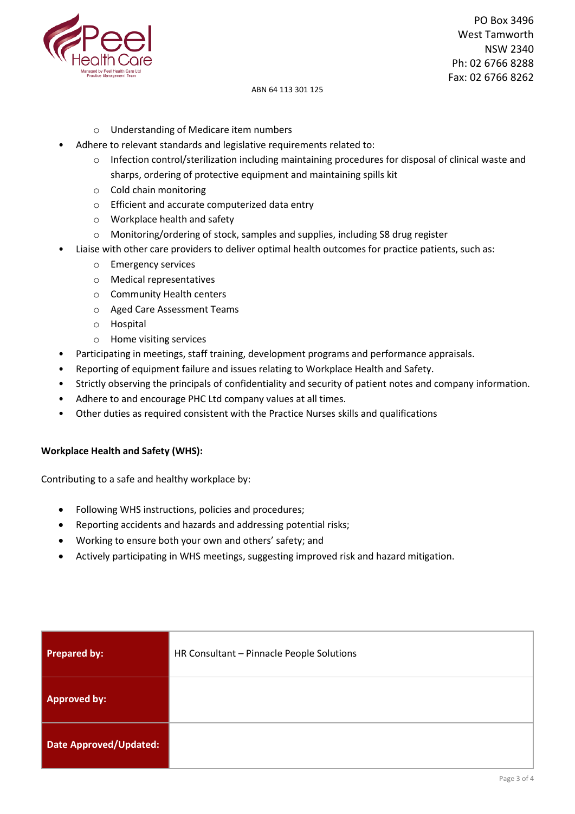

#### ABN 64 113 301 125

- o Understanding of Medicare item numbers
- Adhere to relevant standards and legislative requirements related to:
	- o Infection control/sterilization including maintaining procedures for disposal of clinical waste and sharps, ordering of protective equipment and maintaining spills kit
	- o Cold chain monitoring
	- o Efficient and accurate computerized data entry
	- o Workplace health and safety
	- o Monitoring/ordering of stock, samples and supplies, including S8 drug register
- Liaise with other care providers to deliver optimal health outcomes for practice patients, such as:
	- o Emergency services
	- o Medical representatives
	- o Community Health centers
	- o Aged Care Assessment Teams
	- o Hospital
	- o Home visiting services
- Participating in meetings, staff training, development programs and performance appraisals.
- Reporting of equipment failure and issues relating to Workplace Health and Safety.
- Strictly observing the principals of confidentiality and security of patient notes and company information.
- Adhere to and encourage PHC Ltd company values at all times.
- Other duties as required consistent with the Practice Nurses skills and qualifications

### **Workplace Health and Safety (WHS):**

Contributing to a safe and healthy workplace by:

- Following WHS instructions, policies and procedures;
- Reporting accidents and hazards and addressing potential risks;
- Working to ensure both your own and others' safety; and
- Actively participating in WHS meetings, suggesting improved risk and hazard mitigation.

| <b>Prepared by:</b>           | HR Consultant - Pinnacle People Solutions |
|-------------------------------|-------------------------------------------|
| <b>Approved by:</b>           |                                           |
| <b>Date Approved/Updated:</b> |                                           |